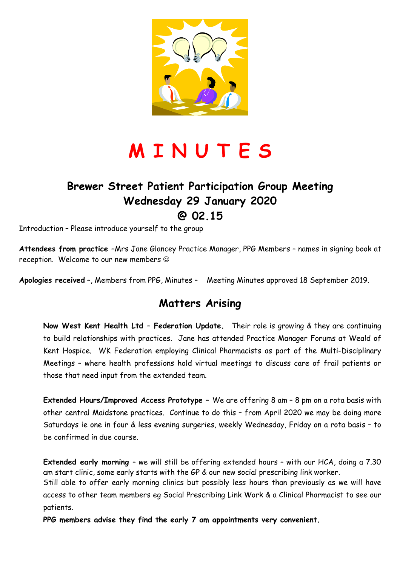

## **M I N U T E S**

#### **Brewer Street Patient Participation Group Meeting Wednesday 29 January 2020 @ 02.15**

Introduction – Please introduce yourself to the group

**Attendees from practice –**Mrs Jane Glancey Practice Manager, PPG Members – names in signing book at reception. Welcome to our new members  $\odot$ 

**Apologies received** –, Members from PPG, Minutes – Meeting Minutes approved 18 September 2019.

#### **Matters Arising**

**Now West Kent Health Ltd – Federation Update.** Their role is growing & they are continuing to build relationships with practices. Jane has attended Practice Manager Forums at Weald of Kent Hospice. WK Federation employing Clinical Pharmacists as part of the Multi-Disciplinary Meetings – where health professions hold virtual meetings to discuss care of frail patients or those that need input from the extended team.

**Extended Hours/Improved Access Prototype –** We are offering 8 am – 8 pm on a rota basis with other central Maidstone practices. Continue to do this – from April 2020 we may be doing more Saturdays ie one in four & less evening surgeries, weekly Wednesday, Friday on a rota basis – to be confirmed in due course.

**Extended early morning** – we will still be offering extended hours – with our HCA, doing a 7.30 am start clinic, some early starts with the GP & our new social prescribing link worker.

Still able to offer early morning clinics but possibly less hours than previously as we will have access to other team members eg Social Prescribing Link Work & a Clinical Pharmacist to see our patients.

**PPG members advise they find the early 7 am appointments very convenient.**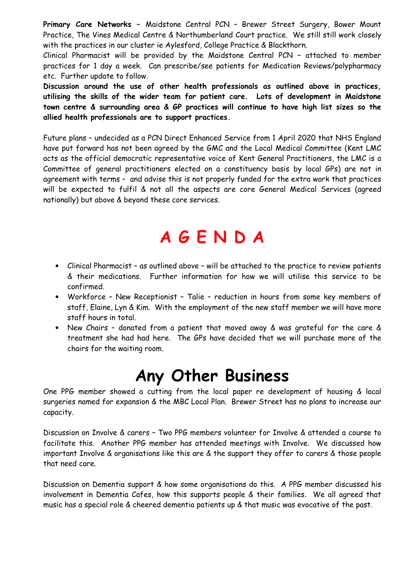**Primary Care Networks –** Maidstone Central PCN – Brewer Street Surgery, Bower Mount Practice, The Vines Medical Centre & Northumberland Court practice. We still still work closely with the practices in our cluster ie Aylesford, College Practice & Blackthorn.

Clinical Pharmacist will be provided by the Maidstone Central PCN – attached to member practices for 1 day a week. Can prescribe/see patients for Medication Reviews/polypharmacy etc. Further update to follow.

**Discussion around the use of other health professionals as outlined above in practices, utilising the skills of the wider team for patient care. Lots of development in Maidstone town centre & surrounding area & GP practices will continue to have high list sizes so the allied health professionals are to support practices.** 

Future plans – undecided as a PCN Direct Enhanced Service from 1 April 2020 that NHS England have put forward has not been agreed by the GMC and the Local Medical Committee (Kent LMC acts as the official democratic representative voice of Kent General Practitioners, the LMC is a Committee of general practitioners elected on a constituency basis by local GPs) are not in agreement with terms – and advise this is not properly funded for the extra work that practices will be expected to fulfil & not all the aspects are core General Medical Services (agreed nationally) but above & beyond these core services.

## **A G E N D A**

- Clinical Pharmacist as outlined above will be attached to the practice to review patients & their medications. Further information for how we will utilise this service to be confirmed.
- Workforce New Receptionist Talie reduction in hours from some key members of staff, Elaine, Lyn & Kim. With the employment of the new staff member we will have more staff hours in total.
- New Chairs donated from a patient that moved away & was grateful for the care & treatment she had had here. The GPs have decided that we will purchase more of the chairs for the waiting room.

### **Any Other Business**

One PPG member showed a cutting from the local paper re development of housing & local surgeries named for expansion & the MBC Local Plan. Brewer Street has no plans to increase our capacity.

Discussion on Involve & carers – Two PPG members volunteer for Involve & attended a course to facilitate this. Another PPG member has attended meetings with Involve. We discussed how important Involve & organisations like this are & the support they offer to carers & those people that need care.

Discussion on Dementia support & how some organisations do this. A PPG member discussed his involvement in Dementia Cafes, how this supports people & their families. We all agreed that music has a special role & cheered dementia patients up & that music was evocative of the past.